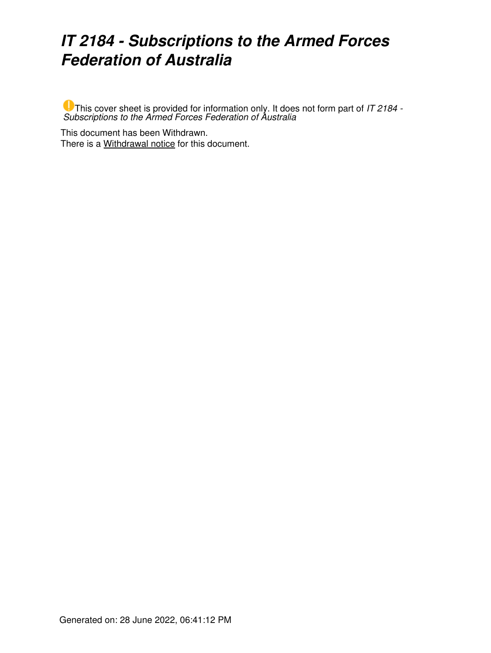## *IT 2184 - Subscriptions to the Armed Forces Federation of Australia*

This cover sheet is provided for information only. It does not form part of *IT 2184 - Subscriptions to the Armed Forces Federation of Australia*

This document has been Withdrawn. There is a [Withdrawal notice](https://www.ato.gov.au/law/view/document?LocID=%22ITR%2FIT2184W%2FNAT%2FATO%2F00001%22&PiT=20170522000001) for this document.